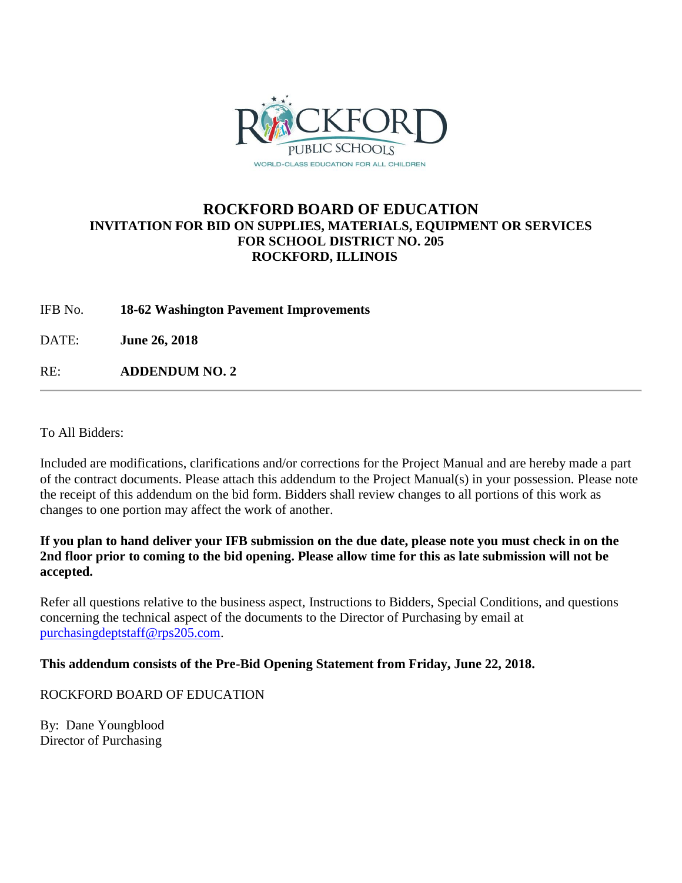

## **ROCKFORD BOARD OF EDUCATION INVITATION FOR BID ON SUPPLIES, MATERIALS, EQUIPMENT OR SERVICES FOR SCHOOL DISTRICT NO. 205 ROCKFORD, ILLINOIS**

IFB No. **18-62 Washington Pavement Improvements**

DATE: **June 26, 2018**

RE: **ADDENDUM NO. 2**

To All Bidders:

Included are modifications, clarifications and/or corrections for the Project Manual and are hereby made a part of the contract documents. Please attach this addendum to the Project Manual(s) in your possession. Please note the receipt of this addendum on the bid form. Bidders shall review changes to all portions of this work as changes to one portion may affect the work of another.

#### **If you plan to hand deliver your IFB submission on the due date, please note you must check in on the 2nd floor prior to coming to the bid opening. Please allow time for this as late submission will not be accepted.**

Refer all questions relative to the business aspect, Instructions to Bidders, Special Conditions, and questions concerning the technical aspect of the documents to the Director of Purchasing by email at [purchasingdeptstaff@rps205.com.](mailto:purchasingdeptstaff@rps205.com)

### **This addendum consists of the Pre-Bid Opening Statement from Friday, June 22, 2018.**

### ROCKFORD BOARD OF EDUCATION

By: Dane Youngblood Director of Purchasing